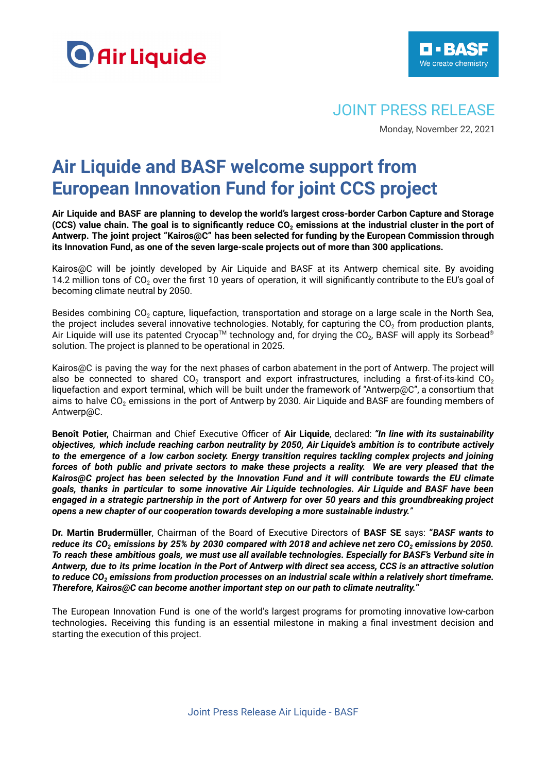



## JOINT PRESS RELEASE

Monday, November 22, 2021

# **Air Liquide and BASF welcome support from European Innovation Fund for joint CCS project**

**Air Liquide and BASF are planning to develop the world's largest cross-border Carbon Capture and Storage** (CCS) value chain. The goal is to significantly reduce  $CO<sub>2</sub>$  emissions at the industrial cluster in the port of **Antwerp. The joint project "Kairos@C" has been selected for funding by the European Commission through its Innovation Fund, as one of the seven large-scale projects out of more than 300 applications.**

Kairos@C will be jointly developed by Air Liquide and BASF at its Antwerp chemical site. By avoiding 14.2 million tons of  $CO<sub>2</sub>$  over the first 10 years of operation, it will significantly contribute to the EU's goal of becoming climate neutral by 2050.

Besides combining  $CO<sub>2</sub>$  capture, liquefaction, transportation and storage on a large scale in the North Sea, the project includes several innovative technologies. Notably, for capturing the  $CO<sub>2</sub>$  from production plants, Air Liquide will use its patented Cryocap™ technology and, for drying the CO<sub>2</sub>, BASF will apply its Sorbead® solution. The project is planned to be operational in 2025.

Kairos@C is paving the way for the next phases of carbon abatement in the port of Antwerp. The project will also be connected to shared CO<sub>2</sub> transport and export infrastructures, including a first-of-its-kind CO<sub>2</sub> liquefaction and export terminal, which will be built under the framework of "Antwerp@C", a consortium that aims to halve  $CO<sub>2</sub>$  emissions in the port of Antwerp by 2030. Air Liquide and BASF are founding members of Antwerp@C.

**Benoît Potier,** Chairman and Chief Executive Officer of **Air Liquide**, declared: *"In line with its sustainability objectives, which include reaching carbon neutrality by 2050, Air Liquide's ambition is to contribute actively to the emergence of a low carbon society. Energy transition requires tackling complex projects and joining* forces of both public and private sectors to make these projects a reality. We are very pleased that the *Kairos@C project has been selected by the Innovation Fund and it will contribute towards the EU climate goals, thanks in particular to some innovative Air Liquide technologies. Air Liquide and BASF have been* engaged in a strategic partnership in the port of Antwerp for over 50 years and this groundbreaking project *opens a new chapter of our cooperation towards developing a more sustainable industry."*

**Dr. Martin Brudermüller**, Chairman of the Board of Executive Directors of **BASF SE** says: **"***BASF wants to* reduce its CO<sub>2</sub> emissions by 25% by 2030 compared with 2018 and achieve net zero CO<sub>2</sub> emissions by 2050. To reach these ambitious goals, we must use all available technologies. Especially for BASF's Verbund site in Antwerp, due to its prime location in the Port of Antwerp with direct sea access, CCS is an attractive solution to reduce CO<sub>2</sub> emissions from production processes on an industrial scale within a relatively short timeframe. *Therefore, Kairos@C can become another important step on our path to climate neutrality.***"**

The European Innovation Fund is one of the world's largest programs for promoting innovative low-carbon technologies**.** Receiving this funding is an essential milestone in making a final investment decision and starting the execution of this project.